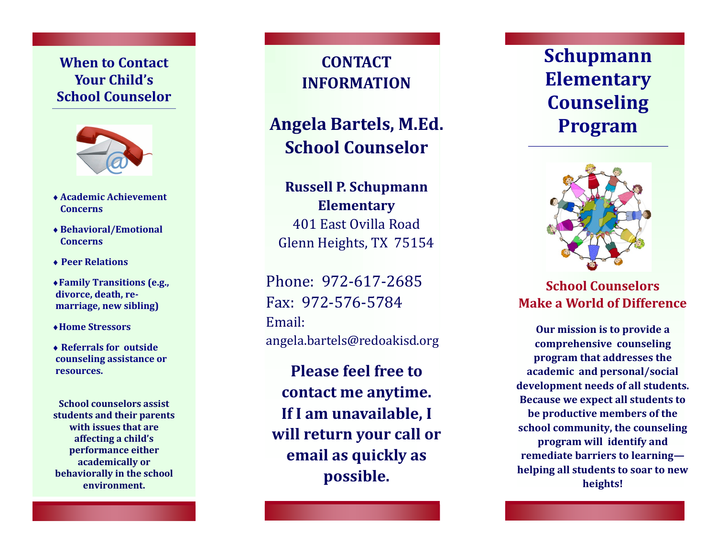# **When to Contact Your Child 's School Counselor**



- **Academic Achievement Concerns**
- **Behavioral/Emotional Concerns**
- **Peer Relations**
- **Family Transitions (e.g., divorce, death, re marriage, new sibling)**
- **Home Stressors**
- **Referrals for outside counseling assistance or resources.**

**School counselors assist students and their parents with issues that are affecting a child 's performance either academically or behaviorally in the school environment.** 

**CONTACT INFORMATION**

# **Angela Bartels, M.Ed. School Counselor**

**Russell P. Schupmann Elementary** 401 East Ovilla Road Glenn Heights, TX 75154

Phone: 972 -617 -2685 Fax: 972 -576 -5784 Email: angela.bartels@redoakisd.org

**Please feel free to contact me anytime. If I am unavailable, I will return your call or email as quickly as possible.** 

**Schupmann Elementary Counseling Program**



**School Counselors Make a World of Difference**

**Our mission is to provide a comprehensive counseling program that addresses the academic and personal/social development needs of all students. Because we expect all students to be productive members of the school community, the counseling program will identify and remediate barriers to learning helping all students to soar to new heights!**